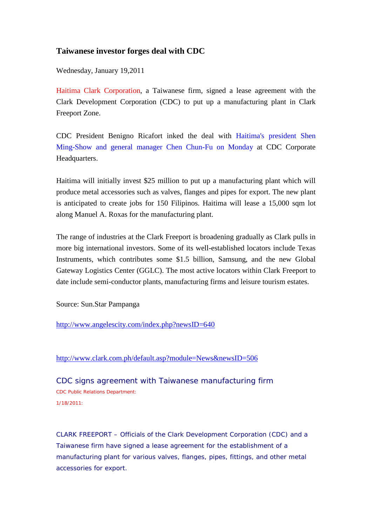## **Taiwanese investor forges deal with CDC**

Wednesday, January 19,2011

Haitima Clark Corporation, a Taiwanese firm, signed a lease agreement with the Clark Development Corporation (CDC) to put up a manufacturing plant in Clark Freeport Zone.

CDC President Benigno Ricafort inked the deal with Haitima's president Shen Ming-Show and general manager Chen Chun-Fu on Monday at CDC Corporate Headquarters.

Haitima will initially invest \$25 million to put up a manufacturing plant which will produce metal accessories such as valves, flanges and pipes for export. The new plant is anticipated to create jobs for 150 Filipinos. Haitima will lease a 15,000 sqm lot along Manuel A. Roxas for the manufacturing plant.

The range of industries at the Clark Freeport is broadening gradually as Clark pulls in more big international investors. Some of its well-established locators include Texas Instruments, which contributes some \$1.5 billion, Samsung, and the new Global Gateway Logistics Center (GGLC). The most active locators within Clark Freeport to date include semi-conductor plants, manufacturing firms and leisure tourism estates.

Source: Sun.Star Pampanga

<http://www.angelescity.com/index.php?newsID=640>

## <http://www.clark.com.ph/default.asp?module=News&newsID=506>

CDC signs agreement with Taiwanese manufacturing firm CDC Public Relations Department: 1/18/2011:

CLARK FREEPORT – Officials of the Clark Development Corporation (CDC) and a Taiwanese firm have signed a lease agreement for the establishment of a manufacturing plant for various valves, flanges, pipes, fittings, and other metal accessories for export.